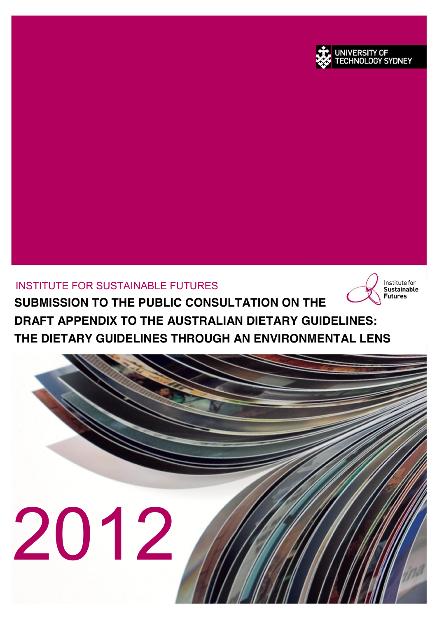

INSTITUTE FOR SUSTAINABLE FUTURES **SUBMISSION TO THE PUBLIC CONSULTATION ON THE DRAFT APPENDIX TO THE AUSTRALIAN DIETARY GUIDELINES: THE DIETARY GUIDELINES THROUGH AN ENVIRONMENTAL LENS**



Institute for **Sustainable Futures** 

UNIVERSITY OF **CHNOLOGY SYDNEY**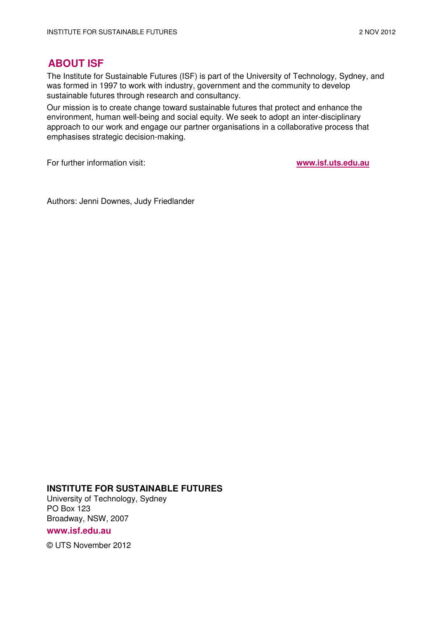### **ABOUT ISF**

The Institute for Sustainable Futures (ISF) is part of the University of Technology, Sydney, and was formed in 1997 to work with industry, government and the community to develop sustainable futures through research and consultancy.

Our mission is to create change toward sustainable futures that protect and enhance the environment, human well-being and social equity. We seek to adopt an inter-disciplinary approach to our work and engage our partner organisations in a collaborative process that emphasises strategic decision-making.

For further information visit: **www.isf.uts.edu.au**

Authors: Jenni Downes, Judy Friedlander

#### **INSTITUTE FOR SUSTAINABLE FUTURES**

University of Technology, Sydney PO Box 123 Broadway, NSW, 2007

**www.isf.edu.au** 

© UTS November 2012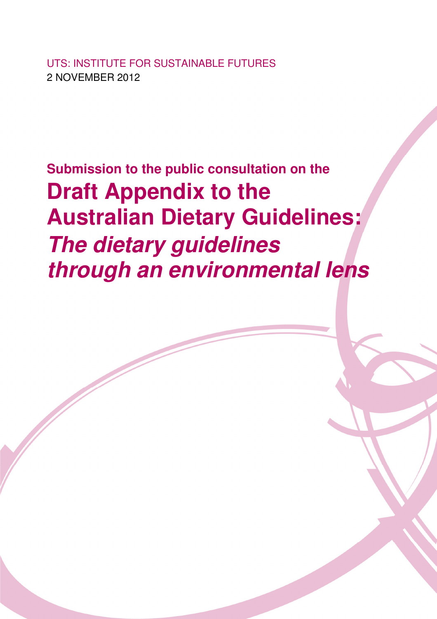UTS: INSTITUTE FOR SUSTAINABLE FUTURES 2 NOVEMBER 2012

**Submission to the public consultation on the Draft Appendix to the Australian Dietary Guidelines: The dietary guidelines through an environmental lens**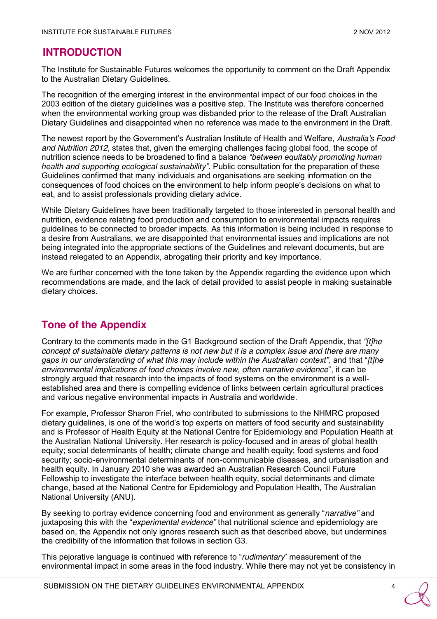## **INTRODUCTION**

The Institute for Sustainable Futures welcomes the opportunity to comment on the Draft Appendix to the Australian Dietary Guidelines.

The recognition of the emerging interest in the environmental impact of our food choices in the 2003 edition of the dietary guidelines was a positive step. The Institute was therefore concerned when the environmental working group was disbanded prior to the release of the Draft Australian Dietary Guidelines and disappointed when no reference was made to the environment in the Draft.

The newest report by the Government's Australian Institute of Health and Welfare, *Australia's Food and Nutrition 2012*, states that, given the emerging challenges facing global food, the scope of nutrition science needs to be broadened to find a balance *"between equitably promoting human health and supporting ecological sustainability"*. Public consultation for the preparation of these Guidelines confirmed that many individuals and organisations are seeking information on the consequences of food choices on the environment to help inform people's decisions on what to eat, and to assist professionals providing dietary advice.

While Dietary Guidelines have been traditionally targeted to those interested in personal health and nutrition, evidence relating food production and consumption to environmental impacts requires guidelines to be connected to broader impacts. As this information is being included in response to a desire from Australians, we are disappointed that environmental issues and implications are not being integrated into the appropriate sections of the Guidelines and relevant documents, but are instead relegated to an Appendix, abrogating their priority and key importance.

We are further concerned with the tone taken by the Appendix regarding the evidence upon which recommendations are made, and the lack of detail provided to assist people in making sustainable dietary choices.

# **Tone of the Appendix**

Contrary to the comments made in the G1 Background section of the Draft Appendix, that *"[t]he concept of sustainable dietary patterns is not new but it is a complex issue and there are many gaps in our understanding of what this may include within the Australian context"*, and that "*[t]he environmental implications of food choices involve new, often narrative evidence*", it can be strongly argued that research into the impacts of food systems on the environment is a wellestablished area and there is compelling evidence of links between certain agricultural practices and various negative environmental impacts in Australia and worldwide.

For example, Professor Sharon Friel, who contributed to submissions to the NHMRC proposed dietary guidelines, is one of the world's top experts on matters of food security and sustainability and is Professor of Health Equity at the National Centre for Epidemiology and Population Health at the Australian National University. Her research is policy-focused and in areas of global health equity; social determinants of health; climate change and health equity; food systems and food security; socio-environmental determinants of non-communicable diseases, and urbanisation and health equity. In January 2010 she was awarded an Australian Research Council Future Fellowship to investigate the interface between health equity, social determinants and climate change, based at the National Centre for Epidemiology and Population Health, The Australian National University (ANU).

By seeking to portray evidence concerning food and environment as generally "*narrative"* and juxtaposing this with the "*experimental evidence"* that nutritional science and epidemiology are based on, the Appendix not only ignores research such as that described above, but undermines the credibility of the information that follows in section G3.

This pejorative language is continued with reference to "*rudimentary*" measurement of the environmental impact in some areas in the food industry. While there may not yet be consistency in

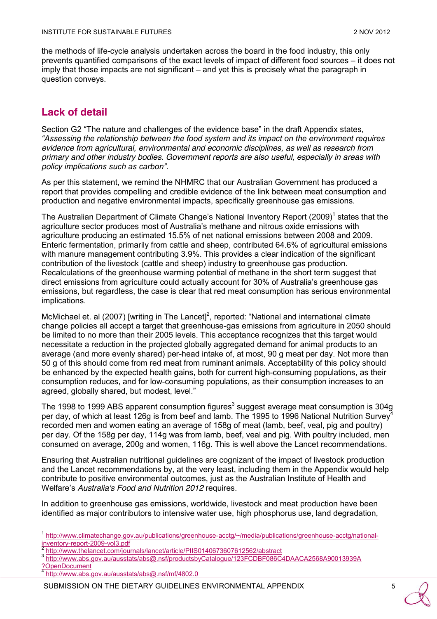the methods of life-cycle analysis undertaken across the board in the food industry, this only prevents quantified comparisons of the exact levels of impact of different food sources – it does not imply that those impacts are not significant – and yet this is precisely what the paragraph in question conveys.

## **Lack of detail**

Section G2 "The nature and challenges of the evidence base" in the draft Appendix states, *"Assessing the relationship between the food system and its impact on the environment requires evidence from agricultural, environmental and economic disciplines, as well as research from primary and other industry bodies. Government reports are also useful, especially in areas with policy implications such as carbon"*.

As per this statement, we remind the NHMRC that our Australian Government has produced a report that provides compelling and credible evidence of the link between meat consumption and production and negative environmental impacts, specifically greenhouse gas emissions.

The Australian Department of Climate Change's National Inventory Report (2009)<sup>1</sup> states that the agriculture sector produces most of Australia's methane and nitrous oxide emissions with agriculture producing an estimated 15.5% of net national emissions between 2008 and 2009. Enteric fermentation, primarily from cattle and sheep, contributed 64.6% of agricultural emissions with manure management contributing 3.9%. This provides a clear indication of the significant contribution of the livestock (cattle and sheep) industry to greenhouse gas production. Recalculations of the greenhouse warming potential of methane in the short term suggest that direct emissions from agriculture could actually account for 30% of Australia's greenhouse gas emissions, but regardless, the case is clear that red meat consumption has serious environmental implications.

McMichael et. al (2007) [writing in The Lancet]<sup>2</sup>, reported: "National and international climate change policies all accept a target that greenhouse-gas emissions from agriculture in 2050 should be limited to no more than their 2005 levels. This acceptance recognizes that this target would necessitate a reduction in the projected globally aggregated demand for animal products to an average (and more evenly shared) per-head intake of, at most, 90 g meat per day. Not more than 50 g of this should come from red meat from ruminant animals. Acceptability of this policy should be enhanced by the expected health gains, both for current high-consuming populations, as their consumption reduces, and for low-consuming populations, as their consumption increases to an agreed, globally shared, but modest, level."

The 1998 to 1999 ABS apparent consumption figures<sup>3</sup> suggest average meat consumption is 304g per day, of which at least 126g is from beef and lamb. The 1995 to 1996 National Nutrition Survey<sup>4</sup> recorded men and women eating an average of 158g of meat (lamb, beef, veal, pig and poultry) per day. Of the 158g per day, 114g was from lamb, beef, veal and pig. With poultry included, men consumed on average, 200g and women, 116g. This is well above the Lancet recommendations.

Ensuring that Australian nutritional guidelines are cognizant of the impact of livestock production and the Lancet recommendations by, at the very least, including them in the Appendix would help contribute to positive environmental outcomes, just as the Australian Institute of Health and Welfare's *Australia's Food and Nutrition 2012* requires.

In addition to greenhouse gas emissions, worldwide, livestock and meat production have been identified as major contributors to intensive water use, high phosphorus use, land degradation,

SUBMISSION ON THE DIETARY GUIDELINES ENVIRONMENTAL APPENDIX 5

 <sup>1</sup> [http://www.climatechange.gov.au/publications/greenhouse-acctg/~/media/publications/greenhouse-acctg/national-](http://www.climatechange.gov.au/publications/greenhouse-acctg/~/media/publications/greenhouse-acctg/national-inventory-report-2009-vol3.pdf)

<sup>&</sup>lt;sup>2</sup> <http://www.thelancet.com/journals/lancet/article/PIIS0140673607612562/abstract> 3 [http://www.abs.gov.au/ausstats/abs@.nsf/productsbyCatalogue/123FCDBF086C4DAACA2568A90013939A](http://www.abs.gov.au/ausstats/abs@.nsf/productsbyCatalogue/123FCDBF086C4DAACA2568A90013939A?OpenDocument) [?OpenDocument](http://www.abs.gov.au/ausstats/abs@.nsf/productsbyCatalogue/123FCDBF086C4DAACA2568A90013939A?OpenDocument)

<sup>4</sup> <http://www.abs.gov.au/ausstats/abs@.nsf/mf/4802.0>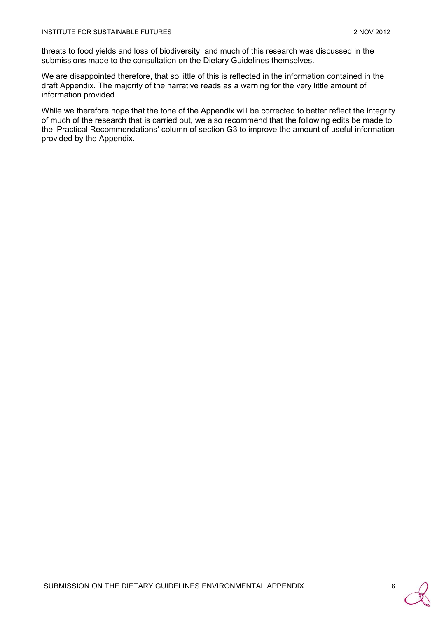threats to food yields and loss of biodiversity, and much of this research was discussed in the submissions made to the consultation on the Dietary Guidelines themselves.

We are disappointed therefore, that so little of this is reflected in the information contained in the draft Appendix. The majority of the narrative reads as a warning for the very little amount of information provided.

While we therefore hope that the tone of the Appendix will be corrected to better reflect the integrity of much of the research that is carried out, we also recommend that the following edits be made to the 'Practical Recommendations' column of section G3 to improve the amount of useful information provided by the Appendix.

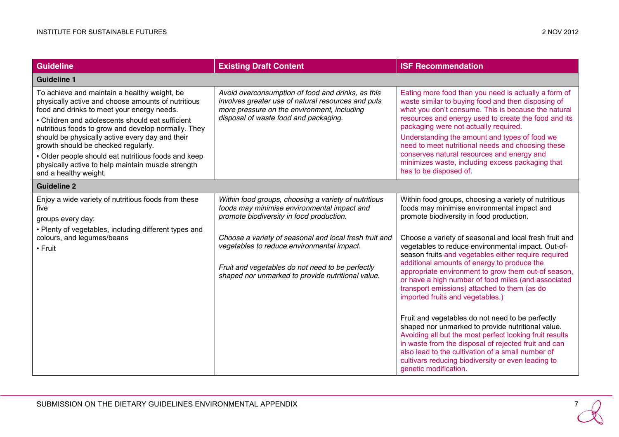| <b>Guideline</b>                                                                                                                                                                                                                                                                                                                                                                                                                                                                            | <b>Existing Draft Content</b>                                                                                                                                                                                                                                                                                                                                    | <b>ISF Recommendation</b>                                                                                                                                                                                                                                                                                                                                                                                                                                                                                                                                                                                                                                                                                                                                                                                                                                                                                                                |  |
|---------------------------------------------------------------------------------------------------------------------------------------------------------------------------------------------------------------------------------------------------------------------------------------------------------------------------------------------------------------------------------------------------------------------------------------------------------------------------------------------|------------------------------------------------------------------------------------------------------------------------------------------------------------------------------------------------------------------------------------------------------------------------------------------------------------------------------------------------------------------|------------------------------------------------------------------------------------------------------------------------------------------------------------------------------------------------------------------------------------------------------------------------------------------------------------------------------------------------------------------------------------------------------------------------------------------------------------------------------------------------------------------------------------------------------------------------------------------------------------------------------------------------------------------------------------------------------------------------------------------------------------------------------------------------------------------------------------------------------------------------------------------------------------------------------------------|--|
| <b>Guideline 1</b>                                                                                                                                                                                                                                                                                                                                                                                                                                                                          |                                                                                                                                                                                                                                                                                                                                                                  |                                                                                                                                                                                                                                                                                                                                                                                                                                                                                                                                                                                                                                                                                                                                                                                                                                                                                                                                          |  |
| To achieve and maintain a healthy weight, be<br>physically active and choose amounts of nutritious<br>food and drinks to meet your energy needs.<br>• Children and adolescents should eat sufficient<br>nutritious foods to grow and develop normally. They<br>should be physically active every day and their<br>growth should be checked regularly.<br>• Older people should eat nutritious foods and keep<br>physically active to help maintain muscle strength<br>and a healthy weight. | Avoid overconsumption of food and drinks, as this<br>involves greater use of natural resources and puts<br>more pressure on the environment, including<br>disposal of waste food and packaging.                                                                                                                                                                  | Eating more food than you need is actually a form of<br>waste similar to buying food and then disposing of<br>what you don't consume. This is because the natural<br>resources and energy used to create the food and its<br>packaging were not actually required.<br>Understanding the amount and types of food we<br>need to meet nutritional needs and choosing these<br>conserves natural resources and energy and<br>minimizes waste, including excess packaging that<br>has to be disposed of.                                                                                                                                                                                                                                                                                                                                                                                                                                     |  |
| <b>Guideline 2</b>                                                                                                                                                                                                                                                                                                                                                                                                                                                                          |                                                                                                                                                                                                                                                                                                                                                                  |                                                                                                                                                                                                                                                                                                                                                                                                                                                                                                                                                                                                                                                                                                                                                                                                                                                                                                                                          |  |
| Enjoy a wide variety of nutritious foods from these<br>five<br>groups every day:<br>• Plenty of vegetables, including different types and<br>colours, and legumes/beans<br>$\cdot$ Fruit                                                                                                                                                                                                                                                                                                    | Within food groups, choosing a variety of nutritious<br>foods may minimise environmental impact and<br>promote biodiversity in food production.<br>Choose a variety of seasonal and local fresh fruit and<br>vegetables to reduce environmental impact.<br>Fruit and vegetables do not need to be perfectly<br>shaped nor unmarked to provide nutritional value. | Within food groups, choosing a variety of nutritious<br>foods may minimise environmental impact and<br>promote biodiversity in food production.<br>Choose a variety of seasonal and local fresh fruit and<br>vegetables to reduce environmental impact. Out-of-<br>season fruits and vegetables either require required<br>additional amounts of energy to produce the<br>appropriate environment to grow them out-of season,<br>or have a high number of food miles (and associated<br>transport emissions) attached to them (as do<br>imported fruits and vegetables.)<br>Fruit and vegetables do not need to be perfectly<br>shaped nor unmarked to provide nutritional value.<br>Avoiding all but the most perfect looking fruit results<br>in waste from the disposal of rejected fruit and can<br>also lead to the cultivation of a small number of<br>cultivars reducing biodiversity or even leading to<br>genetic modification. |  |

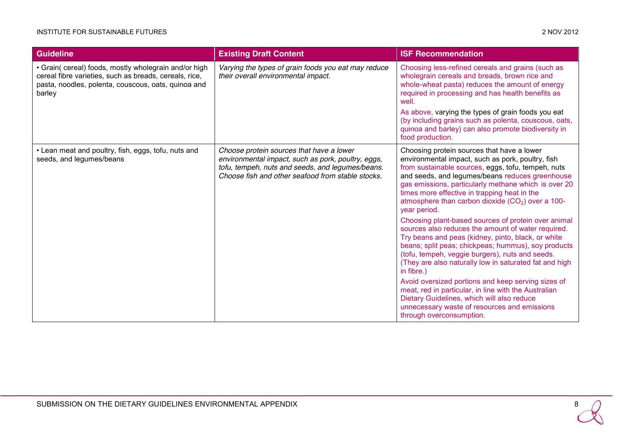#### INSTITUTE FOR SUSTAINABLE FUTURES 2 NOV 2012

| <b>Guideline</b>                                                                                                                                                                 | <b>Existing Draft Content</b>                                                                                                                                                                           | <b>ISF Recommendation</b>                                                                                                                                                                                                                                                                                                                                                                                                                                                                                                                                                                                                                                                                                                                                                                                                                                                                                                                                                           |
|----------------------------------------------------------------------------------------------------------------------------------------------------------------------------------|---------------------------------------------------------------------------------------------------------------------------------------------------------------------------------------------------------|-------------------------------------------------------------------------------------------------------------------------------------------------------------------------------------------------------------------------------------------------------------------------------------------------------------------------------------------------------------------------------------------------------------------------------------------------------------------------------------------------------------------------------------------------------------------------------------------------------------------------------------------------------------------------------------------------------------------------------------------------------------------------------------------------------------------------------------------------------------------------------------------------------------------------------------------------------------------------------------|
| • Grain( cereal) foods, mostly wholegrain and/or high<br>cereal fibre varieties, such as breads, cereals, rice,<br>pasta, noodles, polenta, couscous, oats, quinoa and<br>barley | Varying the types of grain foods you eat may reduce<br>their overall environmental impact.                                                                                                              | Choosing less-refined cereals and grains (such as<br>wholegrain cereals and breads, brown rice and<br>whole-wheat pasta) reduces the amount of energy<br>required in processing and has health benefits as<br>well.<br>As above, varying the types of grain foods you eat<br>(by including grains such as polenta, couscous, oats,<br>quinoa and barley) can also promote biodiversity in<br>food production.                                                                                                                                                                                                                                                                                                                                                                                                                                                                                                                                                                       |
| • Lean meat and poultry, fish, eggs, tofu, nuts and<br>seeds, and legumes/beans                                                                                                  | Choose protein sources that have a lower<br>environmental impact, such as pork, poultry, eggs,<br>tofu, tempeh, nuts and seeds, and legumes/beans.<br>Choose fish and other seafood from stable stocks. | Choosing protein sources that have a lower<br>environmental impact, such as pork, poultry, fish<br>from sustainable sources, eggs, tofu, tempeh, nuts<br>and seeds, and legumes/beans reduces greenhouse<br>gas emissions, particularly methane which is over 20<br>times more effective in trapping heat in the<br>atmosphere than carbon dioxide $(CO2)$ over a 100-<br>year period.<br>Choosing plant-based sources of protein over animal<br>sources also reduces the amount of water required.<br>Try beans and peas (kidney, pinto, black, or white<br>beans; split peas; chickpeas; hummus), soy products<br>(tofu, tempeh, veggie burgers), nuts and seeds.<br>(They are also naturally low in saturated fat and high<br>in fibre.)<br>Avoid oversized portions and keep serving sizes of<br>meat, red in particular, in line with the Australian<br>Dietary Guidelines, which will also reduce<br>unnecessary waste of resources and emissions<br>through overconsumption. |

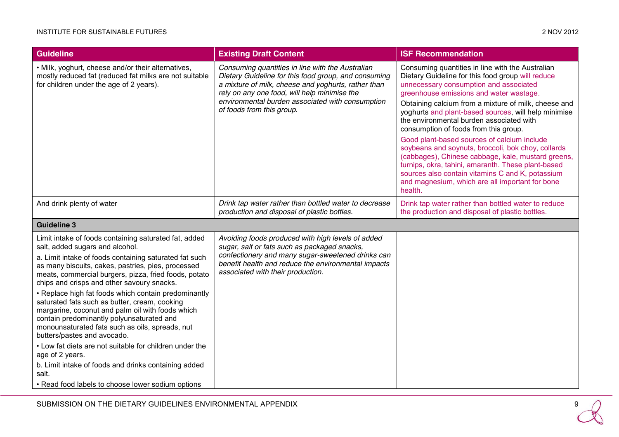| <b>Guideline</b>                                                                                                                                                                                                                                                                                                                                                                                                                                                                                                                                                                                                                                                                                                                                                                                                | <b>Existing Draft Content</b>                                                                                                                                                                                                                                                                    | <b>ISF Recommendation</b>                                                                                                                                                                                                                                                                                                                                                                                                                                                                                                                                                                                                                                                                                                          |
|-----------------------------------------------------------------------------------------------------------------------------------------------------------------------------------------------------------------------------------------------------------------------------------------------------------------------------------------------------------------------------------------------------------------------------------------------------------------------------------------------------------------------------------------------------------------------------------------------------------------------------------------------------------------------------------------------------------------------------------------------------------------------------------------------------------------|--------------------------------------------------------------------------------------------------------------------------------------------------------------------------------------------------------------------------------------------------------------------------------------------------|------------------------------------------------------------------------------------------------------------------------------------------------------------------------------------------------------------------------------------------------------------------------------------------------------------------------------------------------------------------------------------------------------------------------------------------------------------------------------------------------------------------------------------------------------------------------------------------------------------------------------------------------------------------------------------------------------------------------------------|
| • Milk, yoghurt, cheese and/or their alternatives,<br>mostly reduced fat (reduced fat milks are not suitable<br>for children under the age of 2 years).                                                                                                                                                                                                                                                                                                                                                                                                                                                                                                                                                                                                                                                         | Consuming quantities in line with the Australian<br>Dietary Guideline for this food group, and consuming<br>a mixture of milk, cheese and yoghurts, rather than<br>rely on any one food, will help minimise the<br>environmental burden associated with consumption<br>of foods from this group. | Consuming quantities in line with the Australian<br>Dietary Guideline for this food group will reduce<br>unnecessary consumption and associated<br>greenhouse emissions and water wastage.<br>Obtaining calcium from a mixture of milk, cheese and<br>yoghurts and plant-based sources, will help minimise<br>the environmental burden associated with<br>consumption of foods from this group.<br>Good plant-based sources of calcium include<br>soybeans and soynuts, broccoli, bok choy, collards<br>(cabbages), Chinese cabbage, kale, mustard greens,<br>turnips, okra, tahini, amaranth. These plant-based<br>sources also contain vitamins C and K, potassium<br>and magnesium, which are all important for bone<br>health. |
| And drink plenty of water                                                                                                                                                                                                                                                                                                                                                                                                                                                                                                                                                                                                                                                                                                                                                                                       | Drink tap water rather than bottled water to decrease<br>production and disposal of plastic bottles.                                                                                                                                                                                             | Drink tap water rather than bottled water to reduce<br>the production and disposal of plastic bottles.                                                                                                                                                                                                                                                                                                                                                                                                                                                                                                                                                                                                                             |
| <b>Guideline 3</b>                                                                                                                                                                                                                                                                                                                                                                                                                                                                                                                                                                                                                                                                                                                                                                                              |                                                                                                                                                                                                                                                                                                  |                                                                                                                                                                                                                                                                                                                                                                                                                                                                                                                                                                                                                                                                                                                                    |
| Limit intake of foods containing saturated fat, added<br>salt, added sugars and alcohol.<br>a. Limit intake of foods containing saturated fat such<br>as many biscuits, cakes, pastries, pies, processed<br>meats, commercial burgers, pizza, fried foods, potato<br>chips and crisps and other savoury snacks.<br>• Replace high fat foods which contain predominantly<br>saturated fats such as butter, cream, cooking<br>margarine, coconut and palm oil with foods which<br>contain predominantly polyunsaturated and<br>monounsaturated fats such as oils, spreads, nut<br>butters/pastes and avocado.<br>• Low fat diets are not suitable for children under the<br>age of 2 years.<br>b. Limit intake of foods and drinks containing added<br>salt.<br>• Read food labels to choose lower sodium options | Avoiding foods produced with high levels of added<br>sugar, salt or fats such as packaged snacks,<br>confectionery and many sugar-sweetened drinks can<br>benefit health and reduce the environmental impacts<br>associated with their production.                                               |                                                                                                                                                                                                                                                                                                                                                                                                                                                                                                                                                                                                                                                                                                                                    |

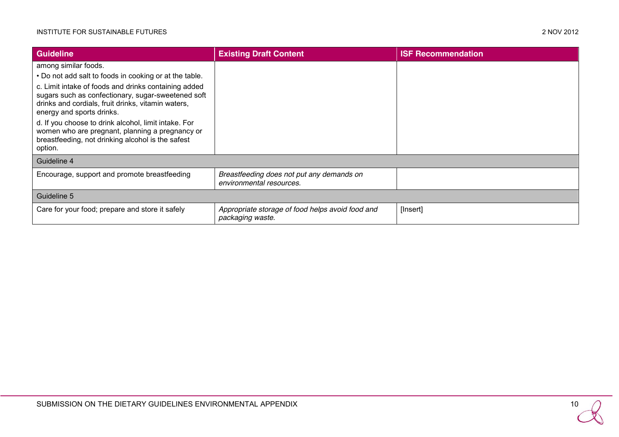| <b>Guideline</b>                                                                                                                                                                                                                                                                                                                                                         | <b>Existing Draft Content</b>                                         | <b>ISF Recommendation</b> |
|--------------------------------------------------------------------------------------------------------------------------------------------------------------------------------------------------------------------------------------------------------------------------------------------------------------------------------------------------------------------------|-----------------------------------------------------------------------|---------------------------|
| among similar foods.                                                                                                                                                                                                                                                                                                                                                     |                                                                       |                           |
| . Do not add salt to foods in cooking or at the table.                                                                                                                                                                                                                                                                                                                   |                                                                       |                           |
| c. Limit intake of foods and drinks containing added<br>sugars such as confectionary, sugar-sweetened soft<br>drinks and cordials, fruit drinks, vitamin waters,<br>energy and sports drinks.<br>d. If you choose to drink alcohol, limit intake. For<br>women who are pregnant, planning a pregnancy or<br>breastfeeding, not drinking alcohol is the safest<br>option. |                                                                       |                           |
| Guideline 4                                                                                                                                                                                                                                                                                                                                                              |                                                                       |                           |
| Encourage, support and promote breastfeeding                                                                                                                                                                                                                                                                                                                             | Breastfeeding does not put any demands on<br>environmental resources. |                           |
| Guideline 5                                                                                                                                                                                                                                                                                                                                                              |                                                                       |                           |
| Care for your food; prepare and store it safely                                                                                                                                                                                                                                                                                                                          | Appropriate storage of food helps avoid food and<br>packaging waste.  | [Insert]                  |

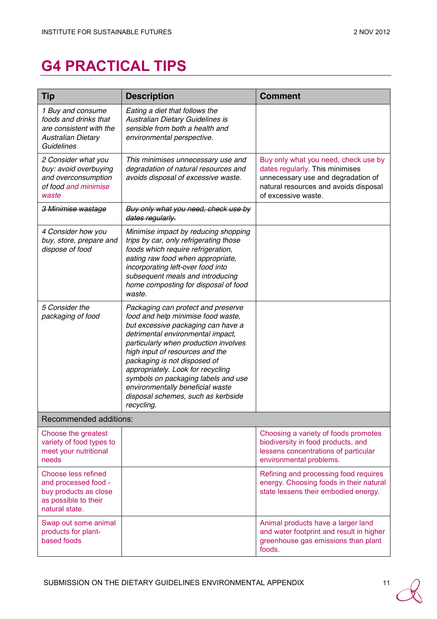# **G4 PRACTICAL TIPS**

| Tip                                                                                                            | <b>Description</b>                                                                                                                                                                                                                                                                                                                                                                                                                  | <b>Comment</b>                                                                                                                                                                |
|----------------------------------------------------------------------------------------------------------------|-------------------------------------------------------------------------------------------------------------------------------------------------------------------------------------------------------------------------------------------------------------------------------------------------------------------------------------------------------------------------------------------------------------------------------------|-------------------------------------------------------------------------------------------------------------------------------------------------------------------------------|
| 1 Buy and consume<br>foods and drinks that<br>are consistent with the<br>Australian Dietary<br>Guidelines      | Eating a diet that follows the<br>Australian Dietary Guidelines is<br>sensible from both a health and<br>environmental perspective.                                                                                                                                                                                                                                                                                                 |                                                                                                                                                                               |
| 2 Consider what you<br>buy: avoid overbuying<br>and overconsumption<br>of food and minimise<br>waste           | This minimises unnecessary use and<br>degradation of natural resources and<br>avoids disposal of excessive waste.                                                                                                                                                                                                                                                                                                                   | Buy only what you need, check use by<br>dates regularly. This minimises<br>unnecessary use and degradation of<br>natural resources and avoids disposal<br>of excessive waste. |
| 3 Minimise wastage                                                                                             | Buy only what you need, check use by<br>dates regularly.                                                                                                                                                                                                                                                                                                                                                                            |                                                                                                                                                                               |
| 4 Consider how you<br>buy, store, prepare and<br>dispose of food                                               | Minimise impact by reducing shopping<br>trips by car, only refrigerating those<br>foods which require refrigeration,<br>eating raw food when appropriate,<br>incorporating left-over food into<br>subsequent meals and introducing<br>home composting for disposal of food<br>waste.                                                                                                                                                |                                                                                                                                                                               |
| 5 Consider the<br>packaging of food                                                                            | Packaging can protect and preserve<br>food and help minimise food waste,<br>but excessive packaging can have a<br>detrimental environmental impact,<br>particularly when production involves<br>high input of resources and the<br>packaging is not disposed of<br>appropriately. Look for recycling<br>symbols on packaging labels and use<br>environmentally beneficial waste<br>disposal schemes, such as kerbside<br>recycling. |                                                                                                                                                                               |
| Recommended additions:                                                                                         |                                                                                                                                                                                                                                                                                                                                                                                                                                     |                                                                                                                                                                               |
| Choose the greatest<br>variety of food types to<br>meet your nutritional<br>needs                              |                                                                                                                                                                                                                                                                                                                                                                                                                                     | Choosing a variety of foods promotes<br>biodiversity in food products, and<br>lessens concentrations of particular<br>environmental problems.                                 |
| Choose less refined<br>and processed food -<br>buy products as close<br>as possible to their<br>natural state. |                                                                                                                                                                                                                                                                                                                                                                                                                                     | Refining and processing food requires<br>energy. Choosing foods in their natural<br>state lessens their embodied energy.                                                      |
| Swap out some animal<br>products for plant-<br>based foods                                                     |                                                                                                                                                                                                                                                                                                                                                                                                                                     | Animal products have a larger land<br>and water footprint and result in higher<br>greenhouse gas emissions than plant<br>foods.                                               |

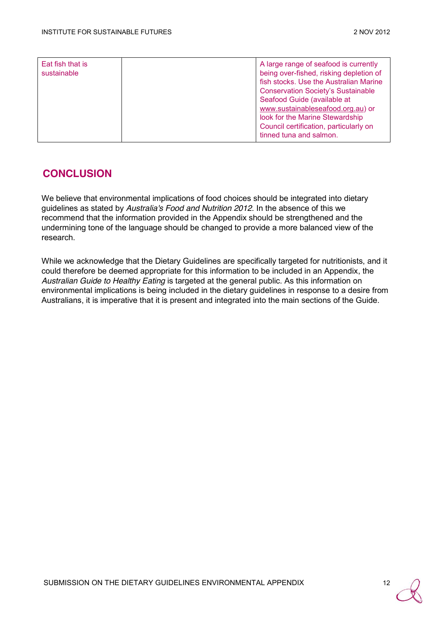| Eat fish that is<br>sustainable |  | A large range of seafood is currently<br>being over-fished, risking depletion of<br>fish stocks. Use the Australian Marine<br><b>Conservation Society's Sustainable</b><br>Seafood Guide (available at<br>www.sustainableseafood.org.au) or<br>look for the Marine Stewardship<br>Council certification, particularly on<br>tinned tuna and salmon. |
|---------------------------------|--|-----------------------------------------------------------------------------------------------------------------------------------------------------------------------------------------------------------------------------------------------------------------------------------------------------------------------------------------------------|
|---------------------------------|--|-----------------------------------------------------------------------------------------------------------------------------------------------------------------------------------------------------------------------------------------------------------------------------------------------------------------------------------------------------|

#### **CONCLUSION**

We believe that environmental implications of food choices should be integrated into dietary guidelines as stated by *Australia's Food and Nutrition 2012*. In the absence of this we recommend that the information provided in the Appendix should be strengthened and the undermining tone of the language should be changed to provide a more balanced view of the research.

While we acknowledge that the Dietary Guidelines are specifically targeted for nutritionists, and it could therefore be deemed appropriate for this information to be included in an Appendix, the *Australian Guide to Healthy Eating* is targeted at the general public. As this information on environmental implications is being included in the dietary guidelines in response to a desire from Australians, it is imperative that it is present and integrated into the main sections of the Guide.